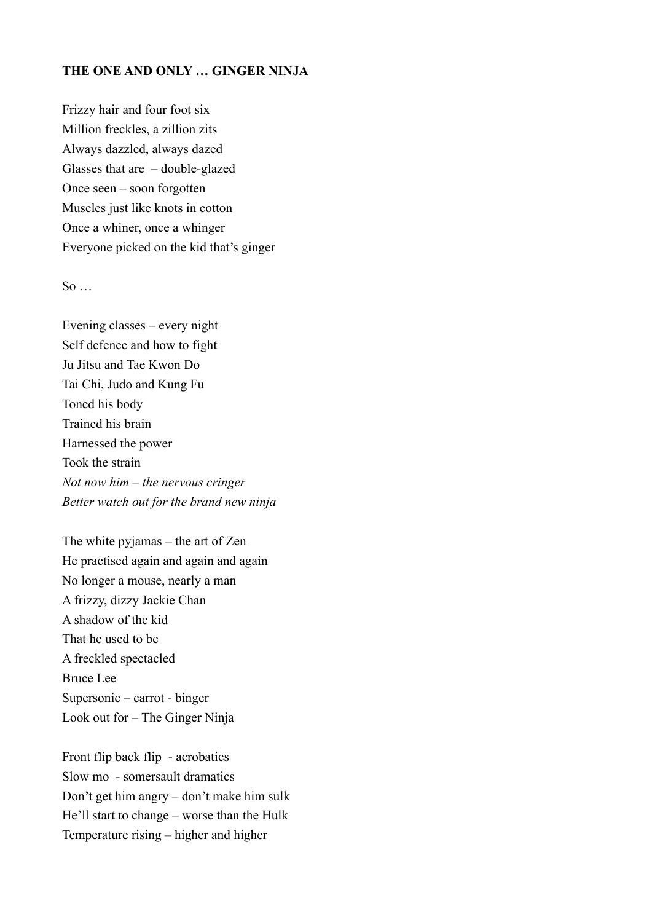## **THE ONE AND ONLY … GINGER NINJA**

Frizzy hair and four foot six Million freckles, a zillion zits Always dazzled, always dazed Glasses that are – double-glazed Once seen – soon forgotten Muscles just like knots in cotton Once a whiner, once a whinger Everyone picked on the kid that's ginger

## $\mathbf{S}\mathbf{o}$

Evening classes – every night Self defence and how to fight Ju Jitsu and Tae Kwon Do Tai Chi, Judo and Kung Fu Toned his body Trained his brain Harnessed the power Took the strain *Not now him – the nervous cringer Better watch out for the brand new ninja* 

The white pyjamas – the art of Zen He practised again and again and again No longer a mouse, nearly a man A frizzy, dizzy Jackie Chan A shadow of the kid That he used to be A freckled spectacled Bruce Lee Supersonic – carrot - binger Look out for – The Ginger Ninja

Front flip back flip - acrobatics Slow mo - somersault dramatics Don't get him angry – don't make him sulk He'll start to change – worse than the Hulk Temperature rising – higher and higher